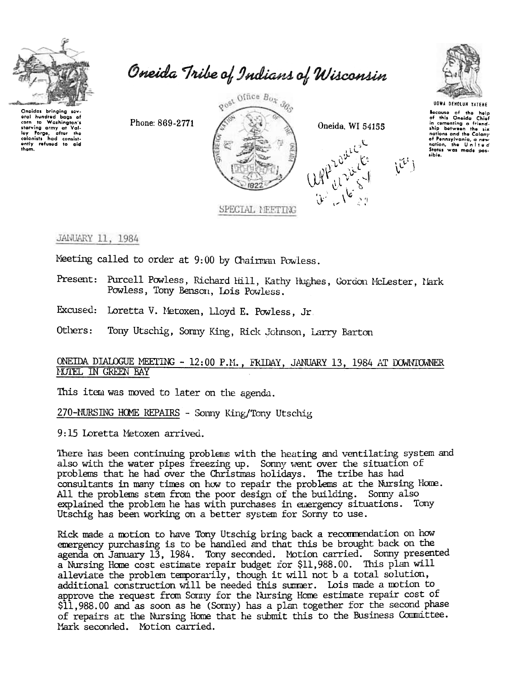

Oneidas bringing sev aral hundred bags of oral hundred bags of<br>corn to Washington's<br>starving army at Val-<br>ley Forge, after the<br>colonists had consist-<br>ently refused to aid<br>them. Oneida Tribe of Indians of Wisconsin

Phone: 869-2771





**UGWA DEHOLUN YATEHE** Because of the help<br>of this Oneida Chief<br>in cementing a friend-<br>ship between the six<br>notions and the Colony of Pennsylvania, a new<br>nation, the United<br>States was made possible.

# JANUARY 11, 1984

Meeting called to order at 9:00 by Chairman Powless.

Present: Purcell Powless, Richard Hill, Kathy Hughes, Gordon McLester, Mark Powless, Tony Benson, Lois Powless.

Excused: Loretta V. Metoxen, Lloyd E. Powless, Jr.

Tony Utschig, Somny King, Rick Johnson, Larry Barton Others:

# ONEIDA DIALOGUE MEETING - 12:00 P.M., FRIDAY, JANUARY 13, 1984 AT DOWNIOWNER MUTEL IN GREEN BAY

This item was moved to later on the agenda.

270-NURSING HOME REPAIRS - Sonny King/Tony Utschig

9:15 Loretta Metoxen arrived.

There has been continuing problems with the heating and ventilating system and also with the water pipes freezing up. Sonny went over the situation of problems that he had over the Christmas holidays. The tribe has had consultants in many times on how to repair the problems at the Nursing Home. All the problems stem from the poor design of the building. Somy also explained the problem he has with purchases in energency situations. Tony Utschig has been working on a better system for Sormy to use.

Rick made a motion to have Tony Utschig bring back a recommendation on how emergency purchasing is to be handled and that this be brought back on the agenda on January 13, 1984. Tony seconded. Motion carried. Sonny presented a Nursing Home cost estimate repair budget for \$11,988.00. This plan will alleviate the problem temporarily, though it will not b a total solution, additional construction will be needed this summer. Lois made a motion to approve the request from Sonny for the Nursing Home estimate repair cost of \$11,988.00 and as soon as he (Sonny) has a plan together for the second phase of repairs at the Nursing Home that he submit this to the Business Committee. Mark seconded. Motion carried.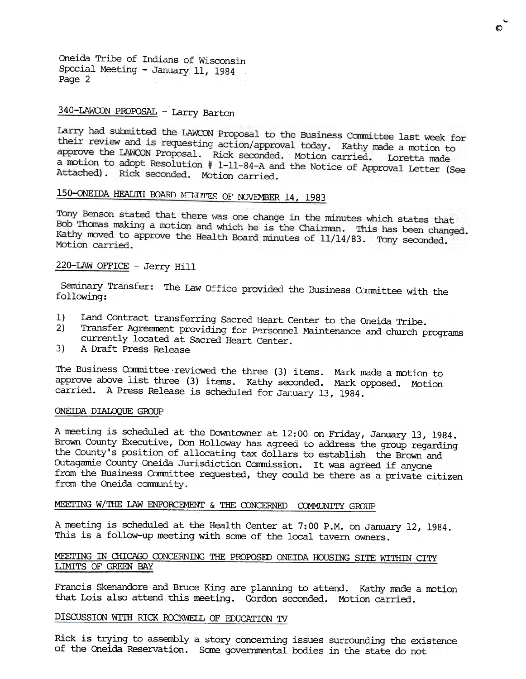Oneida Tribe of Indians of Wisconsin Special Meeting - January 11, 1984 Page 2

# 340-LAWCON PROPOSAL - Larry Barton

Larry had submitted the LAWCON Proposal to the Business Committee last week for their review and is requesting action/approval today. Kathy made a motion to approve the LAWCON Proposal. Rick seconded. Motion carried. Loretta made a motion to adopt Resolution # 1-11-84-A and the Notice of Approval Letter (See Attached). Rick seconded. Motion carried.

(.. (')

# 150-ONEIDA HEALTH BOARD MINUTES OF NOVEMBER 14, 1983

Tony Benson stated that there was one change in the minutes which states that Bob Thomas making a motion and which he is the Chairman. This has been changed.<br>Kathy moved to approve the Uselih R. Kathy moved to approve the Health Board minutes of 11/14/83. Tony seconded. Motion carried.

## 220-LAW OFFICE - Jerry Hill

Seminary Transfer: The Law Office provided the Business Committee with the following:

- 1) Land Contract transferring Sacred Heart Center to the Oneida Tribe.
- 2) Transfer Agreement providing for Personnel Maintenance and church programs currently located at Sacred Heart Center.
- 3) A Draft Press Release

The Business Committee reviewed the three (3) items. Mark made a motion to approve above list three (3) items. Kathy seconded. Mark opposed. Motion carried. A Press Release is scheduled for January 13, 1984.

#### ONEIDA DIALOQUE GROUP

A meeting is scheduled at the Downtowner at 12: 00 on Friday, January 13, 1984. Brown County Executive, Don Holloway has agreed to address the group regarding the County's position of allocating tax dollars to establish the Brown and Outagamie County Oneida Jurisdiction Commission. It was agreed if anyone from the Business Committee requested, they could be there as a private citizen from the Oneida conmunity.

# MEETING W/THE LAW ENFORCEMENT & THE CONCERNED COMMUNITY GROUP

A meeting is scheduled at the Health Center at 7:00 P.M. on January 12, 1984. This is a follow-up meeting with some of the local tavern owners.

# MEErING IN CHICAGO CONCERNING THE PROPOSED ONEIDA HOUSING SITE WITHIN CITY LIMITS OF GREEN BAY

Francis Skenandore and Bruce King are planning to attend. Kathy made a motion that Lois also attend this meeting. Gordon seconded. Motion carried.

# DISCUSSION WITH RICK ROCKWELL OF EDUCATION 'IV

Rick is trying to assembly a story concerning issues surrounding the existence of the Oneida Reservation. Some governmental bodies in the state do not